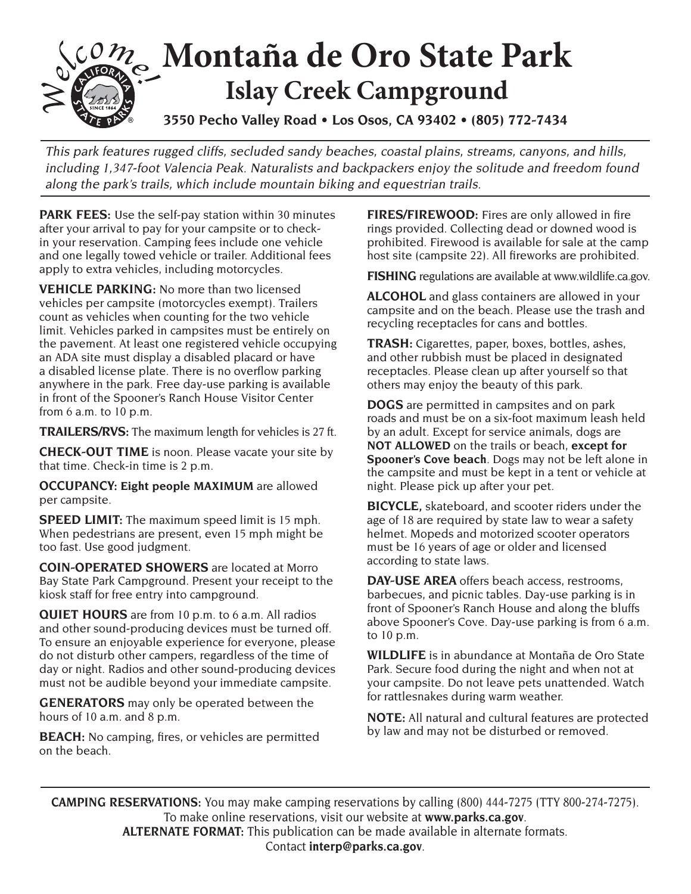

This park features rugged cliffs, secluded sandy beaches, coastal plains, streams, canyons, and hills, including 1,347-foot Valencia Peak. Naturalists and backpackers enjoy the solitude and freedom found along the park's trails, which include mountain biking and equestrian trails.

**PARK FEES:** Use the self-pay station within 30 minutes after your arrival to pay for your campsite or to checkin your reservation. Camping fees include one vehicle and one legally towed vehicle or trailer. Additional fees apply to extra vehicles, including motorcycles.

**VEHICLE PARKING:** No more than two licensed vehicles per campsite (motorcycles exempt). Trailers count as vehicles when counting for the two vehicle limit. Vehicles parked in campsites must be entirely on the pavement. At least one registered vehicle occupying an ADA site must display a disabled placard or have a disabled license plate. There is no overflow parking anywhere in the park. Free day-use parking is available in front of the Spooner's Ranch House Visitor Center from 6 a.m. to 10 p.m.

**TRAILERS/RVS:** The maximum length for vehicles is 27 ft.

**CHECK-OUT TIME** is noon. Please vacate your site by that time. Check-in time is 2 p.m.

**OCCUPANCY: Eight people MAXIMUM** are allowed per campsite.

**SPEED LIMIT:** The maximum speed limit is 15 mph. When pedestrians are present, even 15 mph might be too fast. Use good judgment.

**COIN-OPERATED SHOWERS** are located at Morro Bay State Park Campground. Present your receipt to the kiosk staff for free entry into campground.

**QUIET HOURS** are from 10 p.m. to 6 a.m. All radios and other sound-producing devices must be turned off. To ensure an enjoyable experience for everyone, please do not disturb other campers, regardless of the time of day or night. Radios and other sound-producing devices must not be audible beyond your immediate campsite.

**GENERATORS** may only be operated between the hours of 10 a.m. and 8 p.m.

**BEACH:** No camping, fires, or vehicles are permitted on the beach.

**FIRES/FIREWOOD:** Fires are only allowed in fire rings provided. Collecting dead or downed wood is prohibited. Firewood is available for sale at the camp host site (campsite 22). All fireworks are prohibited.

**FISHING** regulations are available at www.wildlife.ca.gov.

**ALCOHOL** and glass containers are allowed in your campsite and on the beach. Please use the trash and recycling receptacles for cans and bottles.

**TRASH:** Cigarettes, paper, boxes, bottles, ashes, and other rubbish must be placed in designated receptacles. Please clean up after yourself so that others may enjoy the beauty of this park.

**DOGS** are permitted in campsites and on park roads and must be on a six-foot maximum leash held by an adult. Except for service animals, dogs are **NOT ALLOWED** on the trails or beach, **except for Spooner's Cove beach**. Dogs may not be left alone in the campsite and must be kept in a tent or vehicle at night. Please pick up after your pet.

**BICYCLE,** skateboard, and scooter riders under the age of 18 are required by state law to wear a safety helmet. Mopeds and motorized scooter operators must be 16 years of age or older and licensed according to state laws.

**DAY-USE AREA** offers beach access, restrooms, barbecues, and picnic tables. Day-use parking is in front of Spooner's Ranch House and along the bluffs above Spooner's Cove. Day-use parking is from 6 a.m. to 10 p.m.

**WILDLIFE** is in abundance at Montaña de Oro State Park. Secure food during the night and when not at your campsite. Do not leave pets unattended. Watch for rattlesnakes during warm weather.

**NOTE:** All natural and cultural features are protected by law and may not be disturbed or removed.

**CAMPING RESERVATIONS:** You may make camping reservations by calling (800) 444-7275 (TTY 800-274-7275). To make online reservations, visit our website at **www.parks.ca.gov**. **ALTERNATE FORMAT:** This publication can be made available in alternate formats. Contact **interp@parks.ca.gov**.